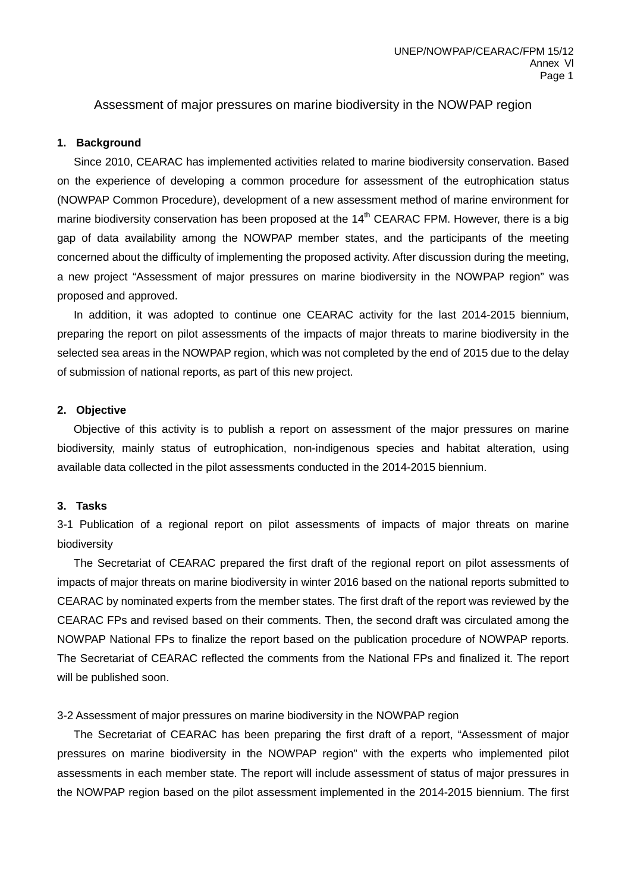Assessment of major pressures on marine biodiversity in the NOWPAP region

### **1. Background**

Since 2010, CEARAC has implemented activities related to marine biodiversity conservation. Based on the experience of developing a common procedure for assessment of the eutrophication status (NOWPAP Common Procedure), development of a new assessment method of marine environment for marine biodiversity conservation has been proposed at the  $14<sup>th</sup>$  CEARAC FPM. However, there is a big gap of data availability among the NOWPAP member states, and the participants of the meeting concerned about the difficulty of implementing the proposed activity. After discussion during the meeting, a new project "Assessment of major pressures on marine biodiversity in the NOWPAP region" was proposed and approved.

In addition, it was adopted to continue one CEARAC activity for the last 2014-2015 biennium, preparing the report on pilot assessments of the impacts of major threats to marine biodiversity in the selected sea areas in the NOWPAP region, which was not completed by the end of 2015 due to the delay of submission of national reports, as part of this new project.

#### **2. Objective**

 Objective of this activity is to publish a report on assessment of the major pressures on marine biodiversity, mainly status of eutrophication, non-indigenous species and habitat alteration, using available data collected in the pilot assessments conducted in the 2014-2015 biennium.

# **3. Tasks**

3-1 Publication of a regional report on pilot assessments of impacts of major threats on marine biodiversity

 The Secretariat of CEARAC prepared the first draft of the regional report on pilot assessments of impacts of major threats on marine biodiversity in winter 2016 based on the national reports submitted to CEARAC by nominated experts from the member states. The first draft of the report was reviewed by the CEARAC FPs and revised based on their comments. Then, the second draft was circulated among the NOWPAP National FPs to finalize the report based on the publication procedure of NOWPAP reports. The Secretariat of CEARAC reflected the comments from the National FPs and finalized it. The report will be published soon.

#### 3-2 Assessment of major pressures on marine biodiversity in the NOWPAP region

 The Secretariat of CEARAC has been preparing the first draft of a report, "Assessment of major pressures on marine biodiversity in the NOWPAP region" with the experts who implemented pilot assessments in each member state. The report will include assessment of status of major pressures in the NOWPAP region based on the pilot assessment implemented in the 2014-2015 biennium. The first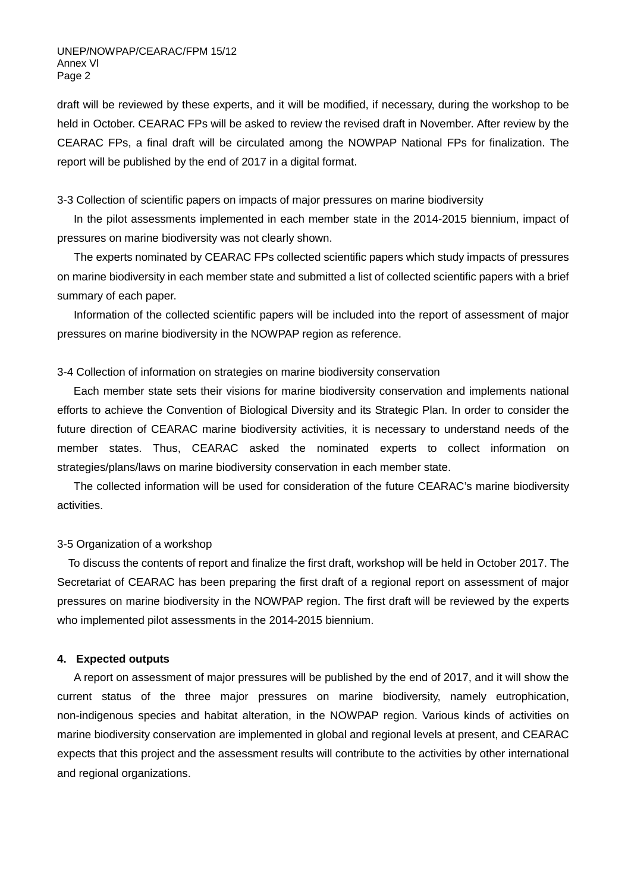draft will be reviewed by these experts, and it will be modified, if necessary, during the workshop to be held in October. CEARAC FPs will be asked to review the revised draft in November. After review by the CEARAC FPs, a final draft will be circulated among the NOWPAP National FPs for finalization. The report will be published by the end of 2017 in a digital format.

# 3-3 Collection of scientific papers on impacts of major pressures on marine biodiversity

In the pilot assessments implemented in each member state in the 2014-2015 biennium, impact of pressures on marine biodiversity was not clearly shown.

The experts nominated by CEARAC FPs collected scientific papers which study impacts of pressures on marine biodiversity in each member state and submitted a list of collected scientific papers with a brief summary of each paper.

Information of the collected scientific papers will be included into the report of assessment of major pressures on marine biodiversity in the NOWPAP region as reference.

#### 3-4 Collection of information on strategies on marine biodiversity conservation

 Each member state sets their visions for marine biodiversity conservation and implements national efforts to achieve the Convention of Biological Diversity and its Strategic Plan. In order to consider the future direction of CEARAC marine biodiversity activities, it is necessary to understand needs of the member states. Thus, CEARAC asked the nominated experts to collect information on strategies/plans/laws on marine biodiversity conservation in each member state.

 The collected information will be used for consideration of the future CEARAC's marine biodiversity activities.

#### 3-5 Organization of a workshop

 To discuss the contents of report and finalize the first draft, workshop will be held in October 2017. The Secretariat of CEARAC has been preparing the first draft of a regional report on assessment of major pressures on marine biodiversity in the NOWPAP region. The first draft will be reviewed by the experts who implemented pilot assessments in the 2014-2015 biennium.

### **4. Expected outputs**

A report on assessment of major pressures will be published by the end of 2017, and it will show the current status of the three major pressures on marine biodiversity, namely eutrophication, non-indigenous species and habitat alteration, in the NOWPAP region. Various kinds of activities on marine biodiversity conservation are implemented in global and regional levels at present, and CEARAC expects that this project and the assessment results will contribute to the activities by other international and regional organizations.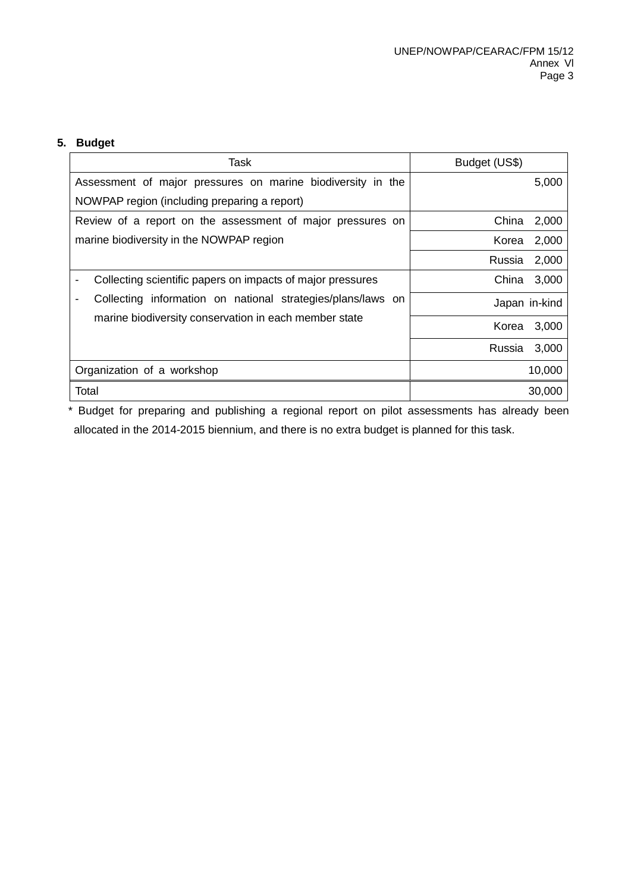# **5. Budget**

| Task                                                                                                                 | Budget (US\$)   |  |
|----------------------------------------------------------------------------------------------------------------------|-----------------|--|
| Assessment of major pressures on marine biodiversity in the                                                          | 5,000           |  |
| NOWPAP region (including preparing a report)                                                                         |                 |  |
| Review of a report on the assessment of major pressures on                                                           | China<br>2,000  |  |
| marine biodiversity in the NOWPAP region                                                                             | 2,000<br>Korea  |  |
|                                                                                                                      | 2,000<br>Russia |  |
| Collecting scientific papers on impacts of major pressures                                                           | China<br>3,000  |  |
| Collecting information on national strategies/plans/laws on<br>marine biodiversity conservation in each member state | Japan in-kind   |  |
|                                                                                                                      | Korea<br>3,000  |  |
|                                                                                                                      | 3,000<br>Russia |  |
| Organization of a workshop                                                                                           | 10,000          |  |
| Total                                                                                                                | 30,000          |  |

\* Budget for preparing and publishing a regional report on pilot assessments has already been allocated in the 2014-2015 biennium, and there is no extra budget is planned for this task.